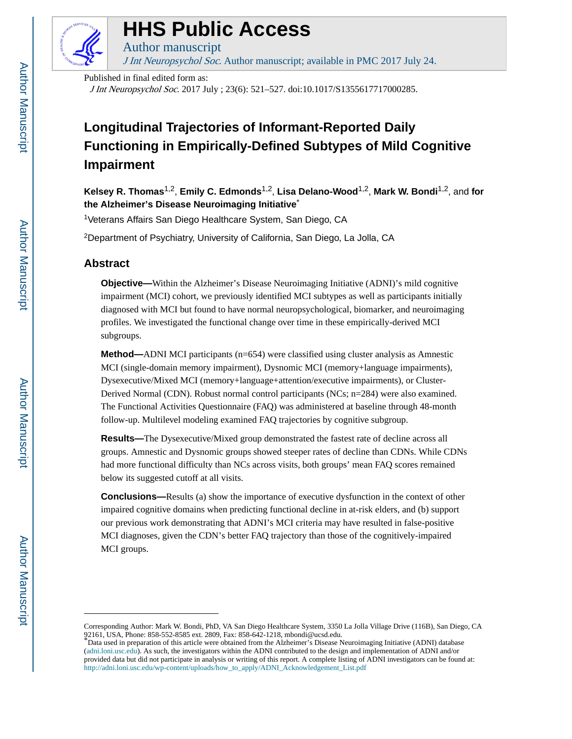

# **HHS Public Access**

J Int Neuropsychol Soc. Author manuscript; available in PMC 2017 July 24.

Published in final edited form as:

Author manuscript

J Int Neuropsychol Soc. 2017 July ; 23(6): 521–527. doi:10.1017/S1355617717000285.

# **Longitudinal Trajectories of Informant-Reported Daily Functioning in Empirically-Defined Subtypes of Mild Cognitive Impairment**

**Kelsey R. Thomas**1,2, **Emily C. Edmonds**1,2, **Lisa Delano-Wood**1,2, **Mark W. Bondi**1,2, and **for the Alzheimer's Disease Neuroimaging Initiative**\*

<sup>1</sup>Veterans Affairs San Diego Healthcare System, San Diego, CA

<sup>2</sup>Department of Psychiatry, University of California, San Diego, La Jolla, CA

# **Abstract**

**Objective—**Within the Alzheimer's Disease Neuroimaging Initiative (ADNI)'s mild cognitive impairment (MCI) cohort, we previously identified MCI subtypes as well as participants initially diagnosed with MCI but found to have normal neuropsychological, biomarker, and neuroimaging profiles. We investigated the functional change over time in these empirically-derived MCI subgroups.

**Method—**ADNI MCI participants (n=654) were classified using cluster analysis as Amnestic MCI (single-domain memory impairment), Dysnomic MCI (memory+language impairments), Dysexecutive/Mixed MCI (memory+language+attention/executive impairments), or Cluster-Derived Normal (CDN). Robust normal control participants (NCs; n=284) were also examined. The Functional Activities Questionnaire (FAQ) was administered at baseline through 48-month follow-up. Multilevel modeling examined FAQ trajectories by cognitive subgroup.

**Results—**The Dysexecutive/Mixed group demonstrated the fastest rate of decline across all groups. Amnestic and Dysnomic groups showed steeper rates of decline than CDNs. While CDNs had more functional difficulty than NCs across visits, both groups' mean FAQ scores remained below its suggested cutoff at all visits.

**Conclusions—**Results (a) show the importance of executive dysfunction in the context of other impaired cognitive domains when predicting functional decline in at-risk elders, and (b) support our previous work demonstrating that ADNI's MCI criteria may have resulted in false-positive MCI diagnoses, given the CDN's better FAQ trajectory than those of the cognitively-impaired MCI groups.

Corresponding Author: Mark W. Bondi, PhD, VA San Diego Healthcare System, 3350 La Jolla Village Drive (116B), San Diego, CA 92161, USA, Phone: 858-552-8585 ext. 2809, Fax: 858-642-1218, mbondi@ucsd.edu.

<sup>\*</sup>Data used in preparation of this article were obtained from the Alzheimer's Disease Neuroimaging Initiative (ADNI) database ([adni.loni.usc.edu](http://adni.loni.usc.edu)). As such, the investigators within the ADNI contributed to the design and implementation of ADNI and/or provided data but did not participate in analysis or writing of this report. A complete listing of ADNI investigators can be found at: [http://adni.loni.usc.edu/wp-content/uploads/how\\_to\\_apply/ADNI\\_Acknowledgement\\_List.pdf](http://adni.loni.usc.edu/wp-content/uploads/how_to_apply/ADNI_Acknowledgement_List.pdf)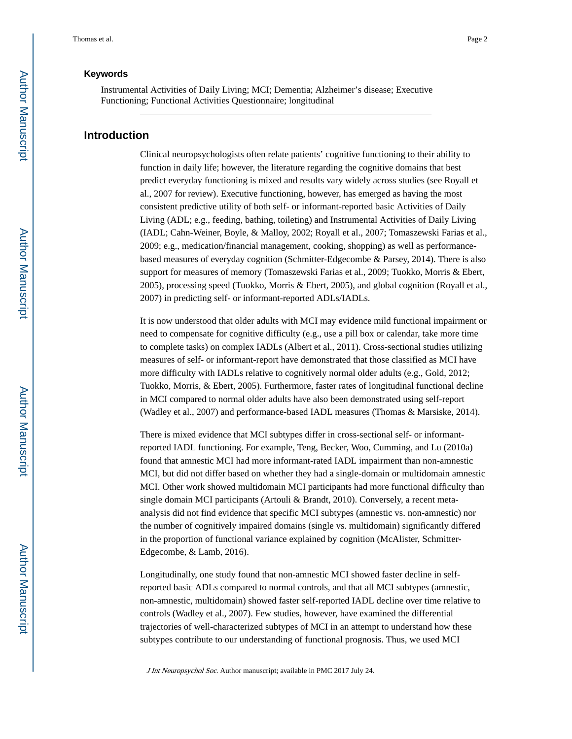## **Keywords**

Instrumental Activities of Daily Living; MCI; Dementia; Alzheimer's disease; Executive Functioning; Functional Activities Questionnaire; longitudinal

### **Introduction**

Clinical neuropsychologists often relate patients' cognitive functioning to their ability to function in daily life; however, the literature regarding the cognitive domains that best predict everyday functioning is mixed and results vary widely across studies (see Royall et al., 2007 for review). Executive functioning, however, has emerged as having the most consistent predictive utility of both self- or informant-reported basic Activities of Daily Living (ADL; e.g., feeding, bathing, toileting) and Instrumental Activities of Daily Living (IADL; Cahn-Weiner, Boyle, & Malloy, 2002; Royall et al., 2007; Tomaszewski Farias et al., 2009; e.g., medication/financial management, cooking, shopping) as well as performancebased measures of everyday cognition (Schmitter-Edgecombe & Parsey, 2014). There is also support for measures of memory (Tomaszewski Farias et al., 2009; Tuokko, Morris & Ebert, 2005), processing speed (Tuokko, Morris & Ebert, 2005), and global cognition (Royall et al., 2007) in predicting self- or informant-reported ADLs/IADLs.

It is now understood that older adults with MCI may evidence mild functional impairment or need to compensate for cognitive difficulty (e.g., use a pill box or calendar, take more time to complete tasks) on complex IADLs (Albert et al., 2011). Cross-sectional studies utilizing measures of self- or informant-report have demonstrated that those classified as MCI have more difficulty with IADLs relative to cognitively normal older adults (e.g., Gold, 2012; Tuokko, Morris, & Ebert, 2005). Furthermore, faster rates of longitudinal functional decline in MCI compared to normal older adults have also been demonstrated using self-report (Wadley et al., 2007) and performance-based IADL measures (Thomas & Marsiske, 2014).

There is mixed evidence that MCI subtypes differ in cross-sectional self- or informantreported IADL functioning. For example, Teng, Becker, Woo, Cumming, and Lu (2010a) found that amnestic MCI had more informant-rated IADL impairment than non-amnestic MCI, but did not differ based on whether they had a single-domain or multidomain amnestic MCI. Other work showed multidomain MCI participants had more functional difficulty than single domain MCI participants (Artouli & Brandt, 2010). Conversely, a recent metaanalysis did not find evidence that specific MCI subtypes (amnestic vs. non-amnestic) nor the number of cognitively impaired domains (single vs. multidomain) significantly differed in the proportion of functional variance explained by cognition (McAlister, Schmitter-Edgecombe, & Lamb, 2016).

Longitudinally, one study found that non-amnestic MCI showed faster decline in selfreported basic ADLs compared to normal controls, and that all MCI subtypes (amnestic, non-amnestic, multidomain) showed faster self-reported IADL decline over time relative to controls (Wadley et al., 2007). Few studies, however, have examined the differential trajectories of well-characterized subtypes of MCI in an attempt to understand how these subtypes contribute to our understanding of functional prognosis. Thus, we used MCI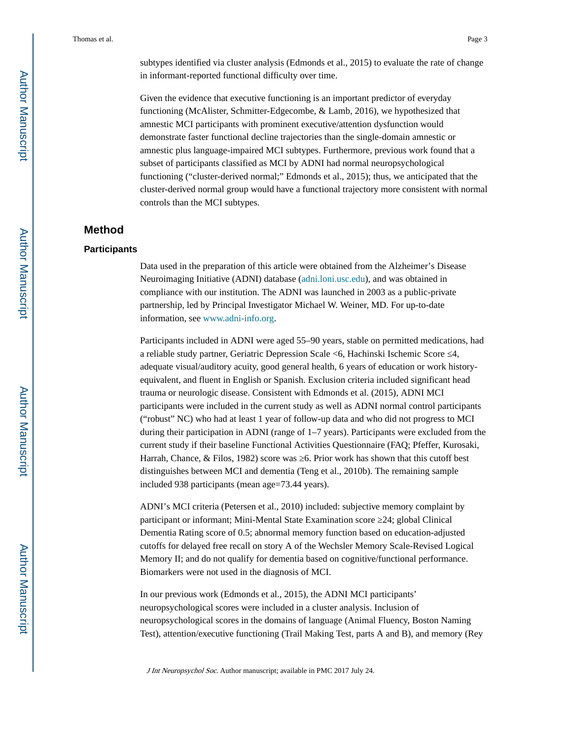Thomas et al. Page 3

subtypes identified via cluster analysis (Edmonds et al., 2015) to evaluate the rate of change in informant-reported functional difficulty over time.

Given the evidence that executive functioning is an important predictor of everyday functioning (McAlister, Schmitter-Edgecombe, & Lamb, 2016), we hypothesized that amnestic MCI participants with prominent executive/attention dysfunction would demonstrate faster functional decline trajectories than the single-domain amnestic or amnestic plus language-impaired MCI subtypes. Furthermore, previous work found that a subset of participants classified as MCI by ADNI had normal neuropsychological functioning ("cluster-derived normal;" Edmonds et al., 2015); thus, we anticipated that the cluster-derived normal group would have a functional trajectory more consistent with normal controls than the MCI subtypes.

# **Method**

#### **Participants**

Data used in the preparation of this article were obtained from the Alzheimer's Disease Neuroimaging Initiative (ADNI) database ([adni.loni.usc.edu\)](http://adni.loni.usc.edu), and was obtained in compliance with our institution. The ADNI was launched in 2003 as a public-private partnership, led by Principal Investigator Michael W. Weiner, MD. For up-to-date information, see [www.adni-info.org](http://www.adni-info.org).

Participants included in ADNI were aged 55–90 years, stable on permitted medications, had a reliable study partner, Geriatric Depression Scale <6, Hachinski Ischemic Score 4, adequate visual/auditory acuity, good general health, 6 years of education or work historyequivalent, and fluent in English or Spanish. Exclusion criteria included significant head trauma or neurologic disease. Consistent with Edmonds et al. (2015), ADNI MCI participants were included in the current study as well as ADNI normal control participants ("robust" NC) who had at least 1 year of follow-up data and who did not progress to MCI during their participation in ADNI (range of 1–7 years). Participants were excluded from the current study if their baseline Functional Activities Questionnaire (FAQ; Pfeffer, Kurosaki, Harrah, Chance,  $&$  Filos, 1982) score was  $&$  6. Prior work has shown that this cutoff best distinguishes between MCI and dementia (Teng et al., 2010b). The remaining sample included 938 participants (mean age=73.44 years).

ADNI's MCI criteria (Petersen et al., 2010) included: subjective memory complaint by participant or informant; Mini-Mental State Examination score ≥24; global Clinical Dementia Rating score of 0.5; abnormal memory function based on education-adjusted cutoffs for delayed free recall on story A of the Wechsler Memory Scale-Revised Logical Memory II; and do not qualify for dementia based on cognitive/functional performance. Biomarkers were not used in the diagnosis of MCI.

In our previous work (Edmonds et al., 2015), the ADNI MCI participants' neuropsychological scores were included in a cluster analysis. Inclusion of neuropsychological scores in the domains of language (Animal Fluency, Boston Naming Test), attention/executive functioning (Trail Making Test, parts A and B), and memory (Rey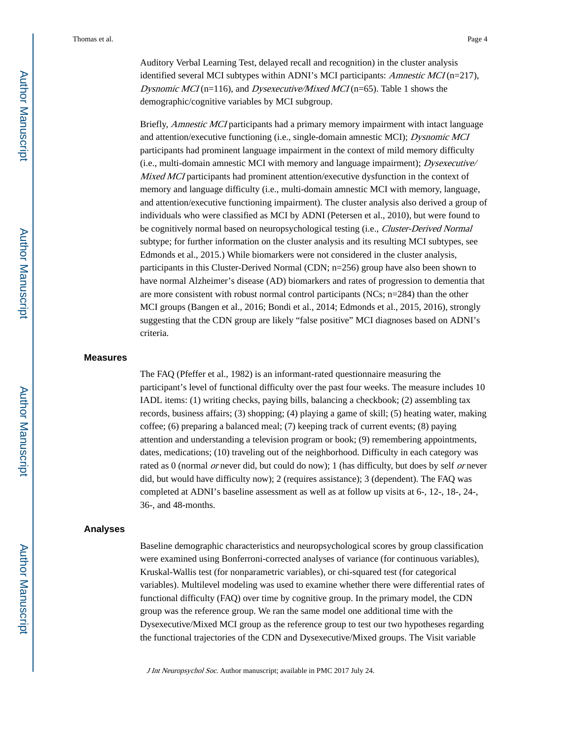Thomas et al. Page 4

Auditory Verbal Learning Test, delayed recall and recognition) in the cluster analysis identified several MCI subtypes within ADNI's MCI participants: Amnestic MCI (n=217), *Dysnomic MCI* ( $n=116$ ), and *Dysexecutive/Mixed MCI* ( $n=65$ ). Table 1 shows the demographic/cognitive variables by MCI subgroup.

Briefly, *Amnestic MCI* participants had a primary memory impairment with intact language and attention/executive functioning (i.e., single-domain amnestic MCI); Dysnomic MCI participants had prominent language impairment in the context of mild memory difficulty (i.e., multi-domain amnestic MCI with memory and language impairment); Dysexecutive/ Mixed MCI participants had prominent attention/executive dysfunction in the context of memory and language difficulty (i.e., multi-domain amnestic MCI with memory, language, and attention/executive functioning impairment). The cluster analysis also derived a group of individuals who were classified as MCI by ADNI (Petersen et al., 2010), but were found to be cognitively normal based on neuropsychological testing (i.e., *Cluster-Derived Normal* subtype; for further information on the cluster analysis and its resulting MCI subtypes, see Edmonds et al., 2015.) While biomarkers were not considered in the cluster analysis, participants in this Cluster-Derived Normal (CDN; n=256) group have also been shown to have normal Alzheimer's disease (AD) biomarkers and rates of progression to dementia that are more consistent with robust normal control participants (NCs; n=284) than the other MCI groups (Bangen et al., 2016; Bondi et al., 2014; Edmonds et al., 2015, 2016), strongly suggesting that the CDN group are likely "false positive" MCI diagnoses based on ADNI's criteria.

#### **Measures**

The FAQ (Pfeffer et al., 1982) is an informant-rated questionnaire measuring the participant's level of functional difficulty over the past four weeks. The measure includes 10 IADL items: (1) writing checks, paying bills, balancing a checkbook; (2) assembling tax records, business affairs; (3) shopping; (4) playing a game of skill; (5) heating water, making coffee; (6) preparing a balanced meal; (7) keeping track of current events; (8) paying attention and understanding a television program or book; (9) remembering appointments, dates, medications; (10) traveling out of the neighborhood. Difficulty in each category was rated as 0 (normal or never did, but could do now); 1 (has difficulty, but does by self or never did, but would have difficulty now); 2 (requires assistance); 3 (dependent). The FAQ was completed at ADNI's baseline assessment as well as at follow up visits at 6-, 12-, 18-, 24-, 36-, and 48-months.

#### **Analyses**

Baseline demographic characteristics and neuropsychological scores by group classification were examined using Bonferroni-corrected analyses of variance (for continuous variables), Kruskal-Wallis test (for nonparametric variables), or chi-squared test (for categorical variables). Multilevel modeling was used to examine whether there were differential rates of functional difficulty (FAQ) over time by cognitive group. In the primary model, the CDN group was the reference group. We ran the same model one additional time with the Dysexecutive/Mixed MCI group as the reference group to test our two hypotheses regarding the functional trajectories of the CDN and Dysexecutive/Mixed groups. The Visit variable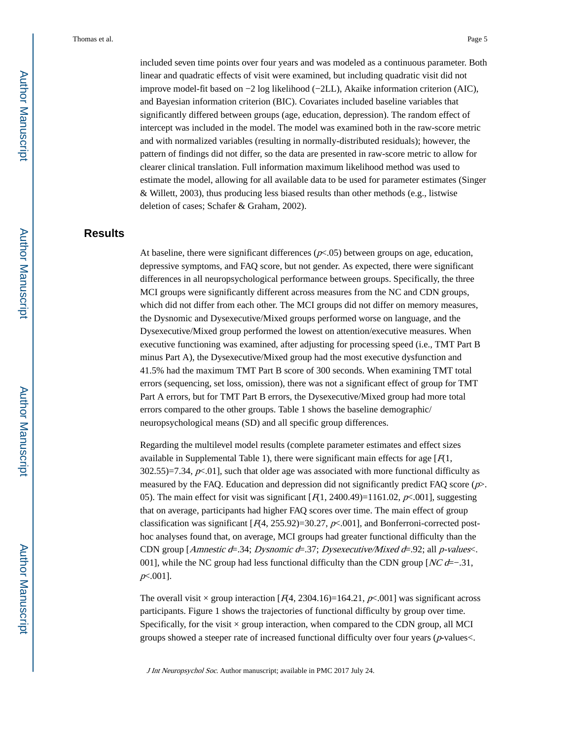included seven time points over four years and was modeled as a continuous parameter. Both linear and quadratic effects of visit were examined, but including quadratic visit did not improve model-fit based on −2 log likelihood (−2LL), Akaike information criterion (AIC), and Bayesian information criterion (BIC). Covariates included baseline variables that significantly differed between groups (age, education, depression). The random effect of intercept was included in the model. The model was examined both in the raw-score metric and with normalized variables (resulting in normally-distributed residuals); however, the pattern of findings did not differ, so the data are presented in raw-score metric to allow for clearer clinical translation. Full information maximum likelihood method was used to estimate the model, allowing for all available data to be used for parameter estimates (Singer & Willett, 2003), thus producing less biased results than other methods (e.g., listwise deletion of cases; Schafer & Graham, 2002).

# **Results**

At baseline, there were significant differences ( $p<0.05$ ) between groups on age, education, depressive symptoms, and FAQ score, but not gender. As expected, there were significant differences in all neuropsychological performance between groups. Specifically, the three MCI groups were significantly different across measures from the NC and CDN groups, which did not differ from each other. The MCI groups did not differ on memory measures, the Dysnomic and Dysexecutive/Mixed groups performed worse on language, and the Dysexecutive/Mixed group performed the lowest on attention/executive measures. When executive functioning was examined, after adjusting for processing speed (i.e., TMT Part B minus Part A), the Dysexecutive/Mixed group had the most executive dysfunction and 41.5% had the maximum TMT Part B score of 300 seconds. When examining TMT total errors (sequencing, set loss, omission), there was not a significant effect of group for TMT Part A errors, but for TMT Part B errors, the Dysexecutive/Mixed group had more total errors compared to the other groups. Table 1 shows the baseline demographic/ neuropsychological means (SD) and all specific group differences.

Regarding the multilevel model results (complete parameter estimates and effect sizes available in Supplemental Table 1), there were significant main effects for age  $[*R*1]$ , 302.55)=7.34,  $p<sub>0</sub>1$ , such that older age was associated with more functional difficulty as measured by the FAQ. Education and depression did not significantly predict FAQ score ( $p$ ). 05). The main effect for visit was significant  $[R(1, 2400.49)=1161.02$ ,  $p<.001]$ , suggesting that on average, participants had higher FAQ scores over time. The main effect of group classification was significant  $[F(4, 255.92)=30.27$ ,  $p \times .001$ ], and Bonferroni-corrected posthoc analyses found that, on average, MCI groups had greater functional difficulty than the CDN group [Amnestic  $d=34$ ; Dysnomic  $d=37$ ; Dysexecutive/Mixed  $d=92$ ; all p-values. 001], while the NC group had less functional difficulty than the CDN group  $[NCd=-.31]$ ,  $p<.001$ ].

The overall visit  $\times$  group interaction [ $F(4, 2304.16) = 164.21$ ,  $p< .001$ ] was significant across participants. Figure 1 shows the trajectories of functional difficulty by group over time. Specifically, for the visit  $\times$  group interaction, when compared to the CDN group, all MCI groups showed a steeper rate of increased functional difficulty over four years ( $p$ -values $\lt$ .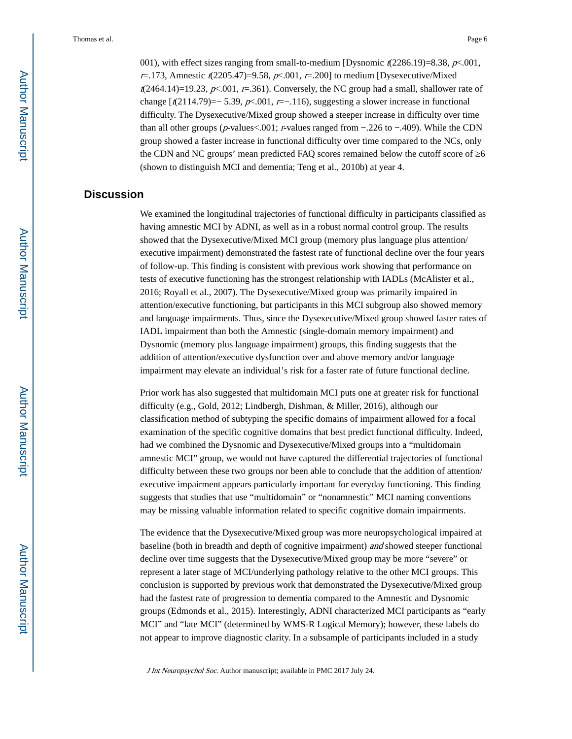001), with effect sizes ranging from small-to-medium [Dysnomic  $\ell(2286.19)=8.38$ ,  $p<.001$ ,  $r=$ .173, Amnestic  $t(2205.47)=9.58$ ,  $p<0.001$ ,  $r=$ .200] to medium [Dysexecutive/Mixed]  $t(2464.14)=19.23$ ,  $p\lt 0.001$ ,  $r=0.361$ . Conversely, the NC group had a small, shallower rate of change  $\lbrack t(2114.79)=-5.39, p \times 0.001, r=-116$ , suggesting a slower increase in functional difficulty. The Dysexecutive/Mixed group showed a steeper increase in difficulty over time than all other groups ( $p$ -values <.001; r-values ranged from  $-.226$  to  $-.409$ ). While the CDN group showed a faster increase in functional difficulty over time compared to the NCs, only the CDN and NC groups' mean predicted FAQ scores remained below the cutoff score of  $6$ (shown to distinguish MCI and dementia; Teng et al., 2010b) at year 4.

# **Discussion**

We examined the longitudinal trajectories of functional difficulty in participants classified as having amnestic MCI by ADNI, as well as in a robust normal control group. The results showed that the Dysexecutive/Mixed MCI group (memory plus language plus attention/ executive impairment) demonstrated the fastest rate of functional decline over the four years of follow-up. This finding is consistent with previous work showing that performance on tests of executive functioning has the strongest relationship with IADLs (McAlister et al., 2016; Royall et al., 2007). The Dysexecutive/Mixed group was primarily impaired in attention/executive functioning, but participants in this MCI subgroup also showed memory and language impairments. Thus, since the Dysexecutive/Mixed group showed faster rates of IADL impairment than both the Amnestic (single-domain memory impairment) and Dysnomic (memory plus language impairment) groups, this finding suggests that the addition of attention/executive dysfunction over and above memory and/or language impairment may elevate an individual's risk for a faster rate of future functional decline.

Prior work has also suggested that multidomain MCI puts one at greater risk for functional difficulty (e.g., Gold, 2012; Lindbergh, Dishman, & Miller, 2016), although our classification method of subtyping the specific domains of impairment allowed for a focal examination of the specific cognitive domains that best predict functional difficulty. Indeed, had we combined the Dysnomic and Dysexecutive/Mixed groups into a "multidomain amnestic MCI" group, we would not have captured the differential trajectories of functional difficulty between these two groups nor been able to conclude that the addition of attention/ executive impairment appears particularly important for everyday functioning. This finding suggests that studies that use "multidomain" or "nonamnestic" MCI naming conventions may be missing valuable information related to specific cognitive domain impairments.

The evidence that the Dysexecutive/Mixed group was more neuropsychological impaired at baseline (both in breadth and depth of cognitive impairment) and showed steeper functional decline over time suggests that the Dysexecutive/Mixed group may be more "severe" or represent a later stage of MCI/underlying pathology relative to the other MCI groups. This conclusion is supported by previous work that demonstrated the Dysexecutive/Mixed group had the fastest rate of progression to dementia compared to the Amnestic and Dysnomic groups (Edmonds et al., 2015). Interestingly, ADNI characterized MCI participants as "early MCI" and "late MCI" (determined by WMS-R Logical Memory); however, these labels do not appear to improve diagnostic clarity. In a subsample of participants included in a study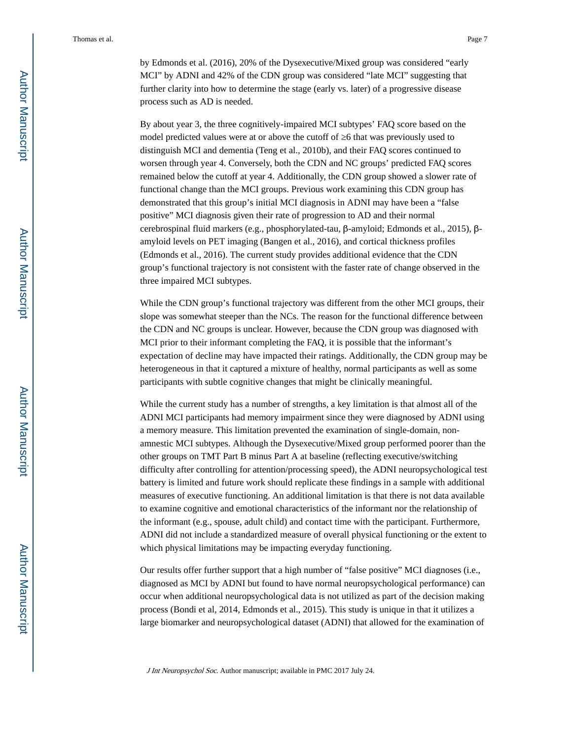by Edmonds et al. (2016), 20% of the Dysexecutive/Mixed group was considered "early MCI" by ADNI and 42% of the CDN group was considered "late MCI" suggesting that further clarity into how to determine the stage (early vs. later) of a progressive disease process such as AD is needed.

By about year 3, the three cognitively-impaired MCI subtypes' FAQ score based on the model predicted values were at or above the cutoff of  $\ 6$  that was previously used to distinguish MCI and dementia (Teng et al., 2010b), and their FAQ scores continued to worsen through year 4. Conversely, both the CDN and NC groups' predicted FAQ scores remained below the cutoff at year 4. Additionally, the CDN group showed a slower rate of functional change than the MCI groups. Previous work examining this CDN group has demonstrated that this group's initial MCI diagnosis in ADNI may have been a "false positive" MCI diagnosis given their rate of progression to AD and their normal cerebrospinal fluid markers (e.g., phosphorylated-tau, β-amyloid; Edmonds et al., 2015), βamyloid levels on PET imaging (Bangen et al., 2016), and cortical thickness profiles (Edmonds et al., 2016). The current study provides additional evidence that the CDN group's functional trajectory is not consistent with the faster rate of change observed in the three impaired MCI subtypes.

While the CDN group's functional trajectory was different from the other MCI groups, their slope was somewhat steeper than the NCs. The reason for the functional difference between the CDN and NC groups is unclear. However, because the CDN group was diagnosed with MCI prior to their informant completing the FAQ, it is possible that the informant's expectation of decline may have impacted their ratings. Additionally, the CDN group may be heterogeneous in that it captured a mixture of healthy, normal participants as well as some participants with subtle cognitive changes that might be clinically meaningful.

While the current study has a number of strengths, a key limitation is that almost all of the ADNI MCI participants had memory impairment since they were diagnosed by ADNI using a memory measure. This limitation prevented the examination of single-domain, nonamnestic MCI subtypes. Although the Dysexecutive/Mixed group performed poorer than the other groups on TMT Part B minus Part A at baseline (reflecting executive/switching difficulty after controlling for attention/processing speed), the ADNI neuropsychological test battery is limited and future work should replicate these findings in a sample with additional measures of executive functioning. An additional limitation is that there is not data available to examine cognitive and emotional characteristics of the informant nor the relationship of the informant (e.g., spouse, adult child) and contact time with the participant. Furthermore, ADNI did not include a standardized measure of overall physical functioning or the extent to which physical limitations may be impacting everyday functioning.

Our results offer further support that a high number of "false positive" MCI diagnoses (i.e., diagnosed as MCI by ADNI but found to have normal neuropsychological performance) can occur when additional neuropsychological data is not utilized as part of the decision making process (Bondi et al, 2014, Edmonds et al., 2015). This study is unique in that it utilizes a large biomarker and neuropsychological dataset (ADNI) that allowed for the examination of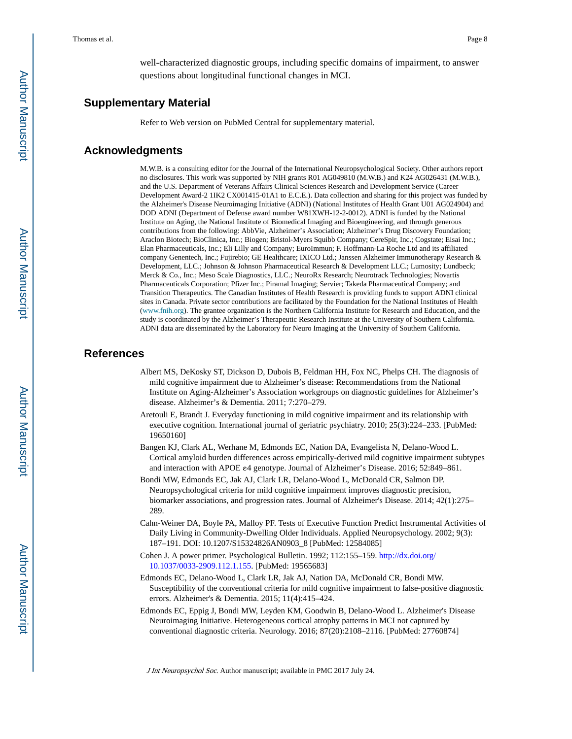well-characterized diagnostic groups, including specific domains of impairment, to answer questions about longitudinal functional changes in MCI.

# **Supplementary Material**

Refer to Web version on PubMed Central for supplementary material.

# **Acknowledgments**

M.W.B. is a consulting editor for the Journal of the International Neuropsychological Society. Other authors report no disclosures. This work was supported by NIH grants R01 AG049810 (M.W.B.) and K24 AG026431 (M.W.B.), and the U.S. Department of Veterans Affairs Clinical Sciences Research and Development Service (Career Development Award-2 1IK2 CX001415-01A1 to E.C.E.). Data collection and sharing for this project was funded by the Alzheimer's Disease Neuroimaging Initiative (ADNI) (National Institutes of Health Grant U01 AG024904) and DOD ADNI (Department of Defense award number W81XWH-12-2-0012). ADNI is funded by the National Institute on Aging, the National Institute of Biomedical Imaging and Bioengineering, and through generous contributions from the following: AbbVie, Alzheimer's Association; Alzheimer's Drug Discovery Foundation; Araclon Biotech; BioClinica, Inc.; Biogen; Bristol-Myers Squibb Company; CereSpir, Inc.; Cogstate; Eisai Inc.; Elan Pharmaceuticals, Inc.; Eli Lilly and Company; EuroImmun; F. Hoffmann-La Roche Ltd and its affiliated company Genentech, Inc.; Fujirebio; GE Healthcare; IXICO Ltd.; Janssen Alzheimer Immunotherapy Research & Development, LLC.; Johnson & Johnson Pharmaceutical Research & Development LLC.; Lumosity; Lundbeck; Merck & Co., Inc.; Meso Scale Diagnostics, LLC.; NeuroRx Research; Neurotrack Technologies; Novartis Pharmaceuticals Corporation; Pfizer Inc.; Piramal Imaging; Servier; Takeda Pharmaceutical Company; and Transition Therapeutics. The Canadian Institutes of Health Research is providing funds to support ADNI clinical sites in Canada. Private sector contributions are facilitated by the Foundation for the National Institutes of Health ([www.fnih.org\)](http://www.fnih.org). The grantee organization is the Northern California Institute for Research and Education, and the study is coordinated by the Alzheimer's Therapeutic Research Institute at the University of Southern California. ADNI data are disseminated by the Laboratory for Neuro Imaging at the University of Southern California.

## **References**

- Albert MS, DeKosky ST, Dickson D, Dubois B, Feldman HH, Fox NC, Phelps CH. The diagnosis of mild cognitive impairment due to Alzheimer's disease: Recommendations from the National Institute on Aging-Alzheimer's Association workgroups on diagnostic guidelines for Alzheimer's disease. Alzheimer's & Dementia. 2011; 7:270–279.
- Aretouli E, Brandt J. Everyday functioning in mild cognitive impairment and its relationship with executive cognition. International journal of geriatric psychiatry. 2010; 25(3):224–233. [PubMed: 19650160]
- Bangen KJ, Clark AL, Werhane M, Edmonds EC, Nation DA, Evangelista N, Delano-Wood L. Cortical amyloid burden differences across empirically-derived mild cognitive impairment subtypes and interaction with APOE ε4 genotype. Journal of Alzheimer's Disease. 2016; 52:849–861.
- Bondi MW, Edmonds EC, Jak AJ, Clark LR, Delano-Wood L, McDonald CR, Salmon DP. Neuropsychological criteria for mild cognitive impairment improves diagnostic precision, biomarker associations, and progression rates. Journal of Alzheimer's Disease. 2014; 42(1):275– 289.
- Cahn-Weiner DA, Boyle PA, Malloy PF. Tests of Executive Function Predict Instrumental Activities of Daily Living in Community-Dwelling Older Individuals. Applied Neuropsychology. 2002; 9(3): 187–191. DOI: 10.1207/S15324826AN0903\_8 [PubMed: 12584085]
- Cohen J. A power primer. Psychological Bulletin. 1992; 112:155–159. [http://dx.doi.org/](http://dx.doi.org/10.1037/0033-2909.112.1.155) [10.1037/0033-2909.112.1.155](http://dx.doi.org/10.1037/0033-2909.112.1.155). [PubMed: 19565683]
- Edmonds EC, Delano-Wood L, Clark LR, Jak AJ, Nation DA, McDonald CR, Bondi MW. Susceptibility of the conventional criteria for mild cognitive impairment to false-positive diagnostic errors. Alzheimer's & Dementia. 2015; 11(4):415–424.
- Edmonds EC, Eppig J, Bondi MW, Leyden KM, Goodwin B, Delano-Wood L. Alzheimer's Disease Neuroimaging Initiative. Heterogeneous cortical atrophy patterns in MCI not captured by conventional diagnostic criteria. Neurology. 2016; 87(20):2108–2116. [PubMed: 27760874]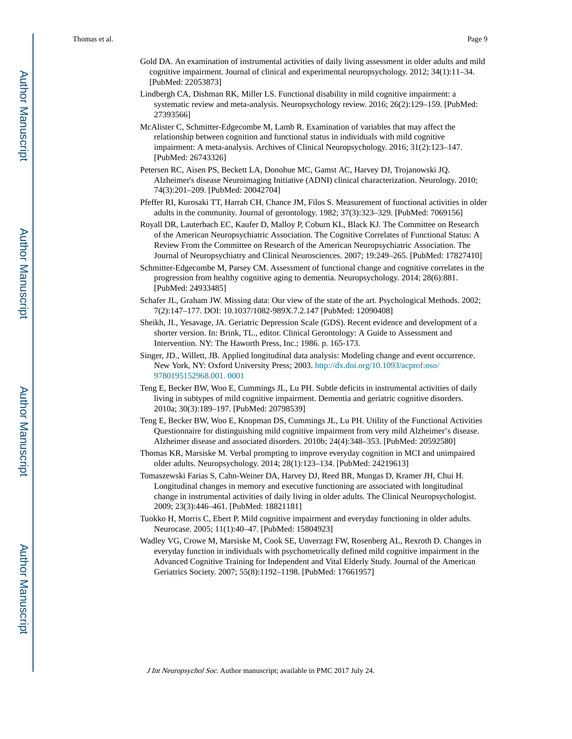- Gold DA. An examination of instrumental activities of daily living assessment in older adults and mild cognitive impairment. Journal of clinical and experimental neuropsychology. 2012; 34(1):11–34. [PubMed: 22053873]
- Lindbergh CA, Dishman RK, Miller LS. Functional disability in mild cognitive impairment: a systematic review and meta-analysis. Neuropsychology review. 2016; 26(2):129–159. [PubMed: 27393566]
- McAlister C, Schmitter-Edgecombe M, Lamb R. Examination of variables that may affect the relationship between cognition and functional status in individuals with mild cognitive impairment: A meta-analysis. Archives of Clinical Neuropsychology. 2016; 31(2):123–147. [PubMed: 26743326]
- Petersen RC, Aisen PS, Beckett LA, Donohue MC, Gamst AC, Harvey DJ, Trojanowski JQ. Alzheimer's disease Neuroimaging Initiative (ADNI) clinical characterization. Neurology. 2010; 74(3):201–209. [PubMed: 20042704]
- Pfeffer RI, Kurosaki TT, Harrah CH, Chance JM, Filos S. Measurement of functional activities in older adults in the community. Journal of gerontology. 1982; 37(3):323–329. [PubMed: 7069156]
- Royall DR, Lauterbach EC, Kaufer D, Malloy P, Coburn KL, Black KJ. The Committee on Research of the American Neuropsychiatric Association. The Cognitive Correlates of Functional Status: A Review From the Committee on Research of the American Neuropsychiatric Association. The Journal of Neuropsychiatry and Clinical Neurosciences. 2007; 19:249–265. [PubMed: 17827410]
- Schmitter-Edgecombe M, Parsey CM. Assessment of functional change and cognitive correlates in the progression from healthy cognitive aging to dementia. Neuropsychology. 2014; 28(6):881. [PubMed: 24933485]
- Schafer JL, Graham JW. Missing data: Our view of the state of the art. Psychological Methods. 2002; 7(2):147–177. DOI: 10.1037/1082-989X.7.2.147 [PubMed: 12090408]
- Sheikh, JI., Yesavage, JA. Geriatric Depression Scale (GDS). Recent evidence and development of a shorter version. In: Brink, TL., editor. Clinical Gerontology: A Guide to Assessment and Intervention. NY: The Haworth Press, Inc.; 1986. p. 165-173.
- Singer, JD., Willett, JB. Applied longitudinal data analysis: Modeling change and event occurrence. New York, NY: Oxford University Press; 2003. [http://dx.doi.org/10.1093/acprof:oso/](http://dx.doi.org/10.1093/acprof:oso/9780195152968.001.0001) [9780195152968.001. 0001](http://dx.doi.org/10.1093/acprof:oso/9780195152968.001.0001)
- Teng E, Becker BW, Woo E, Cummings JL, Lu PH. Subtle deficits in instrumental activities of daily living in subtypes of mild cognitive impairment. Dementia and geriatric cognitive disorders. 2010a; 30(3):189–197. [PubMed: 20798539]
- Teng E, Becker BW, Woo E, Knopman DS, Cummings JL, Lu PH. Utility of the Functional Activities Questionnaire for distinguishing mild cognitive impairment from very mild Alzheimer's disease. Alzheimer disease and associated disorders. 2010b; 24(4):348–353. [PubMed: 20592580]
- Thomas KR, Marsiske M. Verbal prompting to improve everyday cognition in MCI and unimpaired older adults. Neuropsychology. 2014; 28(1):123–134. [PubMed: 24219613]
- Tomaszewski Farias S, Cahn-Weiner DA, Harvey DJ, Reed BR, Mungas D, Kramer JH, Chui H. Longitudinal changes in memory and executive functioning are associated with longitudinal change in instrumental activities of daily living in older adults. The Clinical Neuropsychologist. 2009; 23(3):446–461. [PubMed: 18821181]
- Tuokko H, Morris C, Ebert P. Mild cognitive impairment and everyday functioning in older adults. Neurocase. 2005; 11(1):40–47. [PubMed: 15804923]
- Wadley VG, Crowe M, Marsiske M, Cook SE, Unverzagt FW, Rosenberg AL, Rexroth D. Changes in everyday function in individuals with psychometrically defined mild cognitive impairment in the Advanced Cognitive Training for Independent and Vital Elderly Study. Journal of the American Geriatrics Society. 2007; 55(8):1192–1198. [PubMed: 17661957]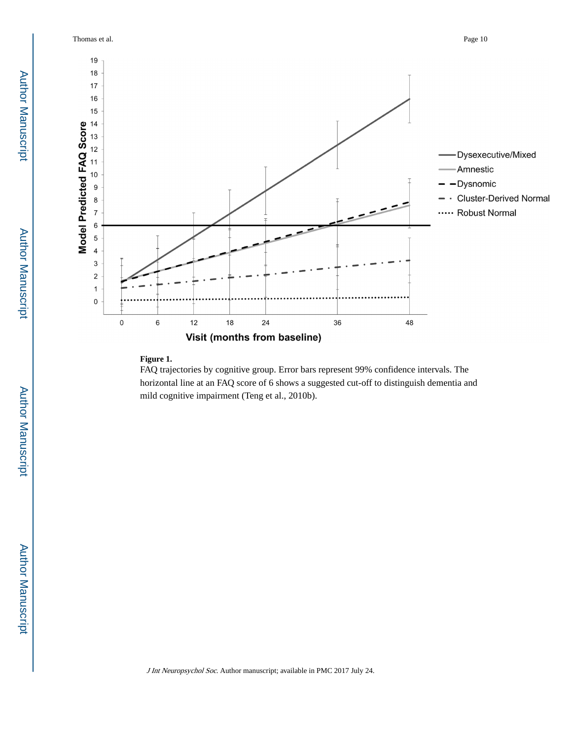Thomas et al. Page 10



#### **Figure 1.**

FAQ trajectories by cognitive group. Error bars represent 99% confidence intervals. The horizontal line at an FAQ score of 6 shows a suggested cut-off to distinguish dementia and mild cognitive impairment (Teng et al., 2010b).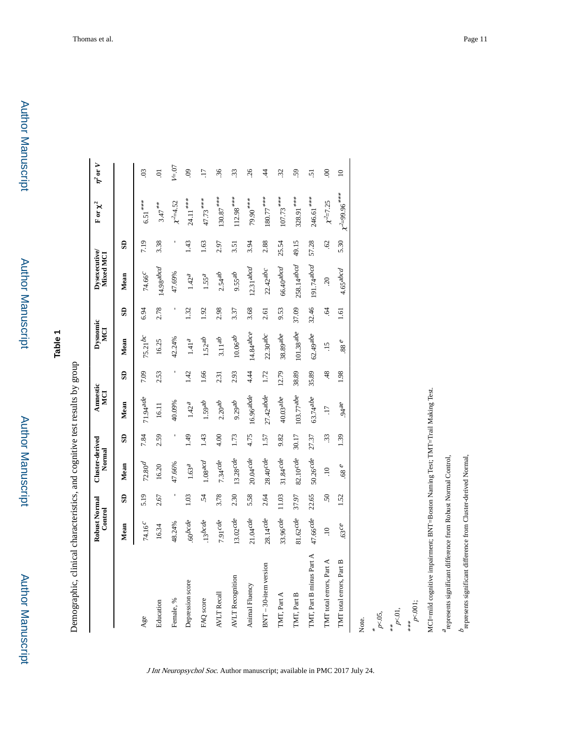**Table 1**

Demographic, clinical characteristics, and cognitive test results by group Demographic, clinical characteristics, and cognitive test results by group

|                          | <b>Robust Normal</b><br>Control |                          | Cluster-derived<br>Normal |                 | Amnestic<br>MCI      |       | Dysnomic<br>MCI       |            | <b>Dysexecutive</b><br>Mixed MCI |                         | F or $\chi^2$           | $\eta^2$ or $V$ |
|--------------------------|---------------------------------|--------------------------|---------------------------|-----------------|----------------------|-------|-----------------------|------------|----------------------------------|-------------------------|-------------------------|-----------------|
|                          | Mean                            | SD                       | Mean                      | SD <sub>1</sub> | Mean                 | SD    | Mean                  | GS         | Mean                             | $\overline{\mathbf{S}}$ |                         |                 |
| Age                      | 74.16 <sup>c</sup>              | 5.19                     | $72.80$                   | 7.84            | $71.94$ ade          | 7.09  | $75.21$ $bc$          | 6.94       | $74.66^{\circ}$                  | 7.19                    | $6.51***$               | $\overline{0}$  |
| Education                | 16.34                           | 2.67                     | 16.20                     | 2.59            | 16.11                | 2.53  | 16.25                 | 2.78       | $14.98abcd$                      | 3.38                    | $3.47***$               | $\overline{a}$  |
| Female, %                | 48.24%                          | $\overline{\phantom{a}}$ | 47.66%                    | ı               | 40.09%               | ı     | 42.24%                |            | 47.69%                           |                         | $\chi^2 = 4.52$         | $V = 07$        |
| Depression score         | $.60bede$                       | 1.03                     | 1.63 <sup>a</sup>         | 1.49            | $1.42^{a}$           | 1.42  | 1.41 <sup>a</sup>     | 1.32       | 1.42 <sup>a</sup>                | 1.43                    | $24.11***$              | $\overline{6}$  |
| FAQ score                | $.13^{bcde}\,$                  | $\ddot{5}$               | $1.08^{a c d}$            | 1.43            | $1.59^{ab}$          | 1.66  | $1.52^{ab}$           | 1.92       | 1.55 <sup>a</sup>                | 1.63                    | $47.73***$              | $\overline{17}$ |
| <b>AVLT</b> Recall       | $7.91cde$                       | 3.78                     | 7.34cde                   | 4.00            | 2.20 <sup>ab</sup>   | 2.31  | 3.11ab                | 2.98       | $2.54^{ab}$                      | 2.97                    | $130.87$ $\rlap{***}$   | $\ddot{.}36$    |
| <b>AVLT</b> Recognition  | $13.02^{cde}$                   | 2.30                     | $13.28^{cde}$             | 1.73            | $9.29$ <sup>ab</sup> | 2.93  | $10.06^{ab}$          | 3.37       | 9.55ab                           | 3.51                    | $112.98***$             | $\ddot{3}$      |
| Animal Fluency           | $21.04$ $cde$                   | 5.58                     | $20.04^{cde}$             | 4.75            | $16.96^{abde}\,$     | 4.44  | $14.84^{a\text{b}ce}$ | 3.68       | $12.31$ abcd                     | 3.94                    | 79.90 ***               | 26              |
| $BNT - 30$ -item version | $28.14^{cde}$                   | 2.64                     | $28.40^{cde}$             | 1.57            | $27.42 abde$         | 1.72  | $22.30^{abc}$         | 2.61       | $22.42^{abc}$                    | 2.88                    | $180.77$ <sup>***</sup> | $\ddot{4}$      |
| TMT, Part A              | $33.96$ cde                     | 11.03                    | $31.84^{cde}$             | 9.82            | $40.03^{abc}$        | 12.79 | $38.89^{dbe}$         | 9.53       | $66.40^\emph{abcd}$              | 25.54                   | $107.73***$             | 32              |
| TMT, Part B              | $81.62^{cde}$                   | 37.97                    | $82.10^{cde}$             | 30.17           | $103.77^{abe}$       | 38.89 | $101.38^{a\!b\!e}$    | 37.09      | $258.14 abcd$                    | 49.15                   | 328.91 ***              | 59              |
| TMT, Part B minus Part A | $47.66cde$                      | 22.65                    | $50.26^{cde}$             | 27.37           | 63.74 <sup>abe</sup> | 35.89 | $62.49$ abe           | 32.46      | $191.74abcd$                     | 57.28                   | 246.61 ***              | 51              |
| TMT total errors, Part A | $\ddot{=}$                      | 50                       | $\ddot{=}$                | 33              | LT.                  | 48    | $\ddot{5}$            | $\ddot{q}$ | $\sim$                           | 62                      | $\chi^2 = 7.25$         | $\odot$         |
| TMT total errors, Part B | $.63$ ce                        | 1.52                     | $\mathbb O$<br>68         | 1.39            | $94^{4e}$            | 1.98  | $38\,e$               | 1.61       | $4.65 a b c d$                   | 5.30                    | $\chi^2 = 99.96$ ***    | $\supseteq$     |
| Note.                    |                                 |                          |                           |                 |                      |       |                       |            |                                  |                         |                         |                 |
| $p<05$                   |                                 |                          |                           |                 |                      |       |                       |            |                                  |                         |                         |                 |
| $P<01,$<br>**            |                                 |                          |                           |                 |                      |       |                       |            |                                  |                         |                         |                 |
| $p<001;$<br>***          |                                 |                          |                           |                 |                      |       |                       |            |                                  |                         |                         |                 |

J Int Neuropsychol Soc. Author manuscript; available in PMC 2017 July 24.

 $\Sigma$ 

MCI=mild cognitive impairment; BNT=Boston Naming Test; TMT=Trail Making Test. MCI=mild cognitive impairment; BNT=Boston Naming Test; TMT=Trail Making Test.

 $\emph{a}$  represents significant difference from Robust Normal Control, represents significant difference from Robust Normal Control,

 $b$  represents significant difference from Cluster-derived Normal,  $\;$ represents significant difference from Cluster-derived Normal,